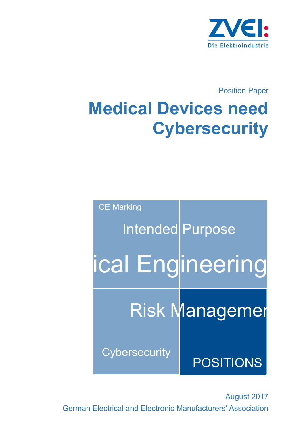

Position Paper

# **Medical Devices need Cybersecurity**

| <b>CE Marking</b>       |                       |
|-------------------------|-----------------------|
| <b>Intended Purpose</b> |                       |
| ical Engineering        |                       |
|                         | <b>Risk Managemer</b> |
| <b>Cybersecurity</b>    | <b>POSITIONS</b>      |

August 2017 German Electrical and Electronic Manufacturers' Association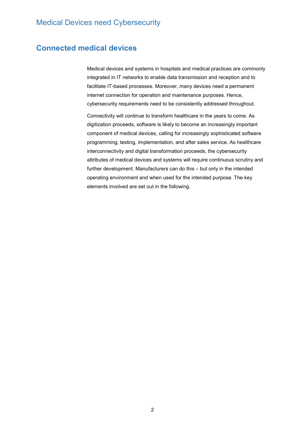## **Connected medical devices**

Medical devices and systems in hospitals and medical practices are commonly integrated in IT networks to enable data transmission and reception and to facilitate IT-based processes. Moreover, many devices need a permanent internet connection for operation and maintenance purposes. Hence, cybersecurity requirements need to be consistently addressed throughout.

Connectivity will continue to transform healthcare in the years to come. As digitization proceeds, software is likely to become an increasingly important component of medical devices, calling for increasingly sophisticated software programming, testing, implementation, and after sales service. As healthcare interconnectivity and digital transformation proceeds, the cybersecurity attributes of medical devices and systems will require continuous scrutiny and further development. Manufacturers can do this – but only in the intended operating environment and when used for the intended purpose. The key elements involved are set out in the following.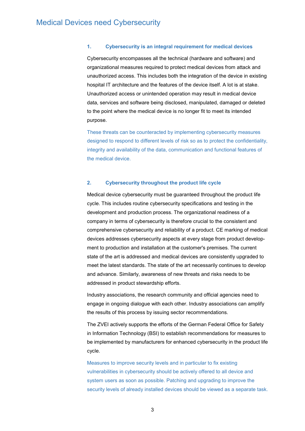### **1. Cybersecurity is an integral requirement for medical devices**

Cybersecurity encompasses all the technical (hardware and software) and organizational measures required to protect medical devices from attack and unauthorized access. This includes both the integration of the device in existing hospital IT architecture and the features of the device itself. A lot is at stake. Unauthorized access or unintended operation may result in medical device data, services and software being disclosed, manipulated, damaged or deleted to the point where the medical device is no longer fit to meet its intended purpose.

These threats can be counteracted by implementing cybersecurity measures designed to respond to different levels of risk so as to protect the confidentiality, integrity and availability of the data, communication and functional features of the medical device.

#### **2. Cybersecurity throughout the product life cycle**

Medical device cybersecurity must be guaranteed throughout the product life cycle. This includes routine cybersecurity specifications and testing in the development and production process. The organizational readiness of a company in terms of cybersecurity is therefore crucial to the consistent and comprehensive cybersecurity and reliability of a product. CE marking of medical devices addresses cybersecurity aspects at every stage from product develop ment to production and installation at the customer's premises. The current state of the art is addressed and medical devices are consistently upgraded to meet the latest standards. The state of the art necessarily continues to develop and advance. Similarly, awareness of new threats and risks needs to be addressed in product stewardship efforts.

Industry associations, the research community and official agencies need to engage in ongoing dialogue with each other. Industry associations can amplify the results of this process by issuing sector recommendations.

The ZVEI actively supports the efforts of the German Federal Office for Safety in Information Technology (BSI) to establish recommendations for measures to be implemented by manufacturers for enhanced cybersecurity in the product life cycle.

Measures to improve security levels and in particular to fix existing vulnerabilities in cybersecurity should be actively offered to all device and system users as soon as possible. Patching and upgrading to improve the security levels of already installed devices should be viewed as a separate task.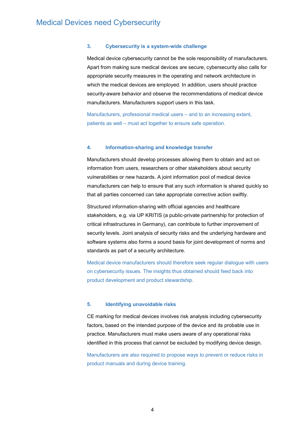#### **3. Cybersecurity is a system-wide challenge**

Medical device cybersecurity cannot be the sole responsibility of manufacturers. Apart from making sure medical devices are secure, cybersecurity also calls for appropriate security measures in the operating and network architecture in which the medical devices are employed. In addition, users should practice security-aware behavior and observe the recommendations of medical device manufacturers. Manufacturers support users in this task.

Manufacturers, professional medical users – and to an increasing extent, patients as well – must act together to ensure safe operation.

#### **4. Information-sharing and knowledge transfer**

Manufacturers should develop processes allowing them to obtain and act on information from users, researchers or other stakeholders about security vulnerabilities or new hazards. A joint information pool of medical device manufacturers can help to ensure that any such information is shared quickly so that all parties concerned can take appropriate corrective action swiftly.

Structured information-sharing with official agencies and healthcare stakeholders, e.g. via UP KRITIS (a public-private partnership for protection of critical infrastructures in Germany), can contribute to further improvement of security levels. Joint analysis of security risks and the underlying hardware and software systems also forms a sound basis for joint development of norms and standards as part of a security architecture.

Medical device manufacturers should therefore seek regular dialogue with users on cybersecurity issues. The insights thus obtained should feed back into product development and product stewardship.

#### **5. Identifying unavoidable risks**

CE marking for medical devices involves risk analysis including cybersecurity factors, based on the intended purpose of the device and its probable use in practice. Manufacturers must make users aware of any operational risks identified in this process that cannot be excluded by modifying device design.

Manufacturers are also required to propose ways to prevent or reduce risks in product manuals and during device training.